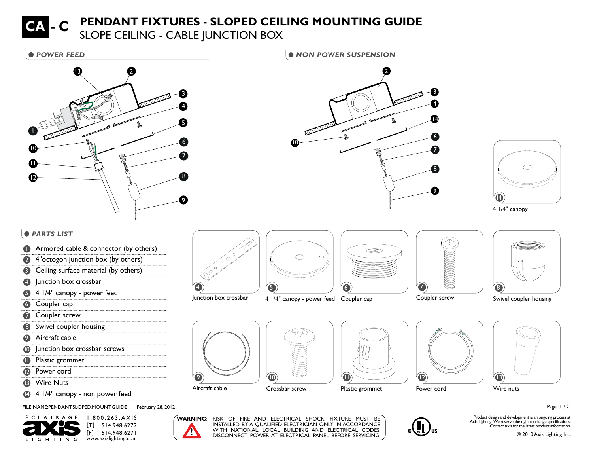## **PENDANT FIXTURES - SLOPED CEILING MOUNTING GUIDE**

**SLOPE CEILING - CABLE JUNCTION BOX** 



**• POWER FEED 12 AND 12 AND 12 AND 12 AND 12 AND 12 AND 12 AND 12 AND 12 AND 12 AND 12 AND 12 AND 12 AND 12 AND 12 AND 12 AND 12 AND 12 AND 12 AND 12 AND 12 AND 12 AND 12 AND 12 AND 12 AND 12 AND 12 AND 12 AND 12 AND 12 AN** 10 9 8 7 6 14 43 2



## $PARTS$  **LIST**

- 1 Armored cable & connector (by others)
- 4"octogon junction box (by others)
- **3** Ceiling surface material (by others)
- 4 Junction box crossbar
- 5 4 1/4" canopy power feed
- **6** Coupler cap
- **7** Coupler screw
- 8 Swivel coupler housing
- **9** Aircraft cable
- **10** Junction box crossbar screws
- **11** Plastic grommet
- 12 Power cord
- **13** Wire Nuts
- <sup>4</sup> 4 1/4" canopy non power feed

FILE NAME:PENDANT.SLOPED.MOUNT.GUIDE February 28, 2012





!

 $\bullet$ 



Junction box crossbar

4







Coupler screw



Swivel coupler housing









Page: 1 / 2

**WARNING**: RISK OF FIRE AND ELECTRICAL SHOCK. FIXTURE MUST BE INSTALLED BY A QUALIFIED ELECTRICIAN ONLY IN ACCORDANCE WITH NATIONAL, LOCAL BUILDING AND ELECTRICAL CODES. DISCONNECT POWER AT ELECTRICAL PANEL BEFORE SERVICING.



Product design and development is an ongoing process at Axis Lighting. We reserve the right to change specifications. Contact Axis for the latest product information.